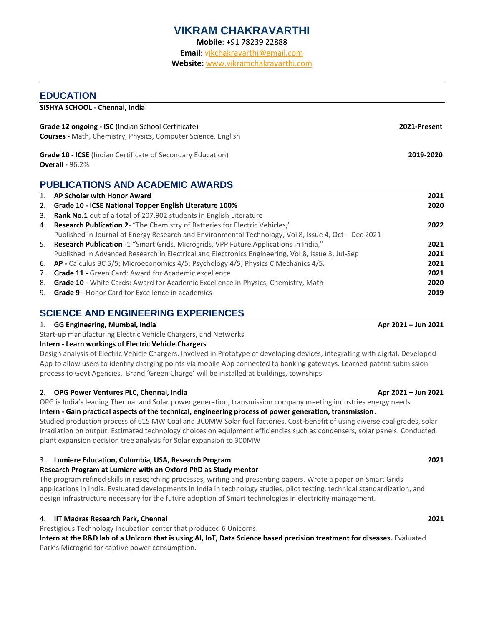# **VIKRAM CHAKRAVARTHI**

**Mobile**: +91 78239 22888

**Email**: [vikchakravarthi@gmail.com](mailto:VikChakravarthi@gmail.com)

**Website:** [www.vikramchakravarthi.com](http://www.vikramchakravarthi.com/)

### **EDUCATION**

**SISHYA SCHOOL - Chennai, India**

| <b>Grade 12 ongoing - ISC</b> (Indian School Certificate)<br><b>Courses</b> - Math, Chemistry, Physics, Computer Science, English | 2021-Present |
|-----------------------------------------------------------------------------------------------------------------------------------|--------------|
| <b>Grade 10 - ICSE</b> (Indian Certificate of Secondary Education)<br><b>Overall - 96.2%</b>                                      | 2019-2020    |
| <b>DUDLIO ATIONO AND AOADEMIO AWADDO</b>                                                                                          |              |

# **PUBLICATIONS AND ACADEMIC AWARDS**

| 1. | AP Scholar with Honor Award                                                                          | 2021 |
|----|------------------------------------------------------------------------------------------------------|------|
| 2. | <b>Grade 10 - ICSE National Topper English Literature 100%</b>                                       | 2020 |
| 3. | <b>Rank No.1</b> out of a total of 207,902 students in English Literature                            |      |
| 4. | Research Publication 2- "The Chemistry of Batteries for Electric Vehicles,"                          | 2022 |
|    | Published in Journal of Energy Research and Environmental Technology, Vol 8, Issue 4, Oct - Dec 2021 |      |
|    | 5. Research Publication -1 "Smart Grids, Microgrids, VPP Future Applications in India,"              | 2021 |
|    | Published in Advanced Research in Electrical and Electronics Engineering, Vol 8, Issue 3, Jul-Sep    | 2021 |
|    | 6. AP - Calculus BC 5/5; Microeconomics 4/5; Psychology 4/5; Physics C Mechanics 4/5.                | 2021 |
| 7. | Grade 11 - Green Card: Award for Academic excellence                                                 | 2021 |
|    | 8. Grade 10 - White Cards: Award for Academic Excellence in Physics, Chemistry, Math                 | 2020 |
|    | 9. Grade 9 - Honor Card for Excellence in academics                                                  | 2019 |

# **SCIENCE AND ENGINEERING EXPERIENCES**

### 1. **GG Engineering, Mumbai, India Apr 2021 – Jun 2021**

Start-up manufacturing Electric Vehicle Chargers, and Networks

#### **Intern - Learn workings of Electric Vehicle Chargers**

Design analysis of Electric Vehicle Chargers. Involved in Prototype of developing devices, integrating with digital. Developed App to allow users to identify charging points via mobile App connected to banking gateways. Learned patent submission process to Govt Agencies. Brand 'Green Charge' will be installed at buildings, townships.

#### 2. **OPG Power Ventures PLC, Chennai, India Apr 2021 Apr 2021 Apr 2021 Apr 2021 Apr 2021 Apr 2021**

OPG is India's leading Thermal and Solar power generation, transmission company meeting industries energy needs

# **Intern - Gain practical aspects of the technical, engineering process of power generation, transmission**.

Studied production process of 615 MW Coal and 300MW Solar fuel factories. Cost-benefit of using diverse coal grades, solar irradiation on output. Estimated technology choices on equipment efficiencies such as condensers, solar panels. Conducted plant expansion decision tree analysis for Solar expansion to 300MW

### 3. **Lumiere Education, Columbia, USA, Research Program 2021**

### **Research Program at Lumiere with an Oxford PhD as Study mentor**

The program refined skills in researching processes, writing and presenting papers. Wrote a paper on Smart Grids applications in India. Evaluated developments in India in technology studies, pilot testing, technical standardization, and design infrastructure necessary for the future adoption of Smart technologies in electricity management.

## 4. **IIT Madras Research Park, Chennai 2021**

Prestigious Technology Incubation center that produced 6 Unicorns.

**Intern at the R&D lab of a Unicorn that is using AI, IoT, Data Science based precision treatment for diseases.** Evaluated Park's Microgrid for captive power consumption.